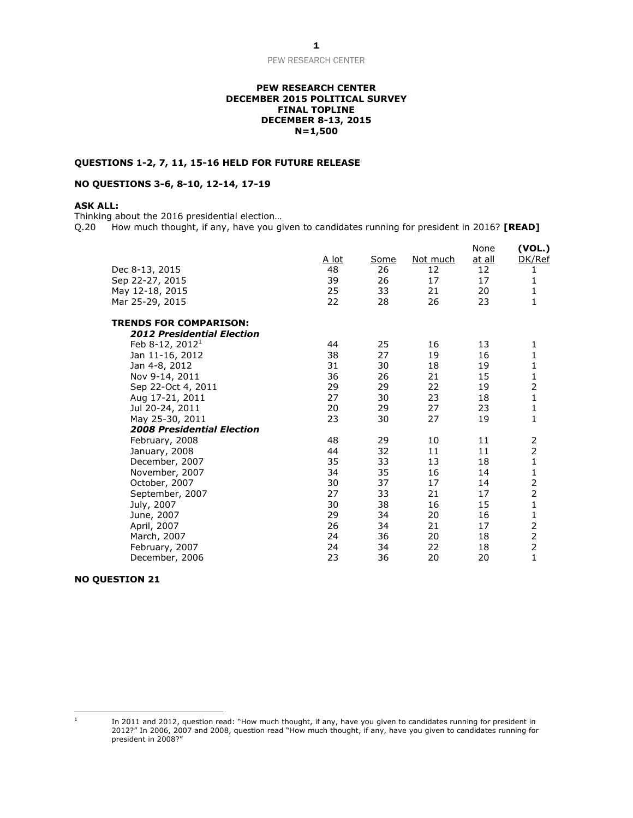#### **PEW RESEARCH CENTER DECEMBER 2015 POLITICAL SURVEY FINAL TOPLINE DECEMBER 8-13, 2015 N=1,500**

### **QUESTIONS 1-2, 7, 11, 15-16 HELD FOR FUTURE RELEASE**

## **NO QUESTIONS 3-6, 8-10, 12-14, 17-19**

# **ASK ALL:**

Thinking about the 2016 presidential election...<br>Q.20 How much thought, if any, have you gi How much thought, if any, have you given to candidates running for president in 2016? **[READ]** 

| Dec 8-13, 2015<br>Sep 22-27, 2015<br>May 12-18, 2015<br>Mar 25-29, 2015 | A lot<br>48<br>39<br>25<br>22 | Some<br>26<br>26<br>33<br>28 | Not much<br>12<br>17<br>21<br>26 | None<br>at all<br>12<br>17<br>20<br>23 | (VOL.)<br>DK/Ref<br>1<br>1<br>1<br>$\mathbf 1$ |
|-------------------------------------------------------------------------|-------------------------------|------------------------------|----------------------------------|----------------------------------------|------------------------------------------------|
| <b>TRENDS FOR COMPARISON:</b>                                           |                               |                              |                                  |                                        |                                                |
| <b>2012 Presidential Election</b><br>Feb 8-12, 2012 <sup>1</sup>        | 44                            | 25                           | 16                               | 13                                     |                                                |
| Jan 11-16, 2012                                                         | 38                            | 27                           | 19                               | 16                                     | 1<br>1                                         |
| Jan 4-8, 2012                                                           | 31                            | 30                           | 18                               | 19                                     | $\mathbf{1}$                                   |
| Nov 9-14, 2011                                                          | 36                            | 26                           | 21                               | 15                                     | $\mathbf{1}$                                   |
| Sep 22-Oct 4, 2011                                                      | 29                            | 29                           | 22                               | 19                                     | $\overline{2}$                                 |
| Aug 17-21, 2011                                                         | 27                            | 30                           | 23                               | 18                                     | $\mathbf{1}$                                   |
| Jul 20-24, 2011                                                         | 20                            | 29                           | 27                               | 23                                     | $\mathbf{1}$                                   |
| May 25-30, 2011                                                         | 23                            | 30                           | 27                               | 19                                     | $\mathbf{1}$                                   |
| <b>2008 Presidential Election</b>                                       |                               |                              |                                  |                                        |                                                |
| February, 2008                                                          | 48                            | 29                           | 10                               | 11                                     | 2                                              |
| January, 2008                                                           | 44                            | 32                           | 11                               | 11                                     | $\overline{2}$                                 |
| December, 2007                                                          | 35                            | 33                           | 13                               | 18                                     | 1                                              |
| November, 2007                                                          | 34                            | 35                           | 16                               | 14                                     | $\mathbf{1}$                                   |
| October, 2007                                                           | 30                            | 37                           | 17                               | 14                                     | $\overline{c}$                                 |
| September, 2007                                                         | 27                            | 33                           | 21                               | 17                                     | $\overline{2}$                                 |
| July, 2007                                                              | 30                            | 38                           | 16                               | 15                                     | $\mathbf{1}$                                   |
| June, 2007                                                              | 29                            | 34                           | 20                               | 16                                     | $\mathbf{1}$                                   |
| April, 2007                                                             | 26                            | 34                           | 21                               | 17                                     | $\overline{2}$                                 |
| March, 2007                                                             | 24                            | 36                           | 20                               | 18                                     | $\overline{2}$                                 |
| February, 2007                                                          | 24                            | 34                           | 22                               | 18                                     | $\overline{2}$                                 |
| December, 2006                                                          | 23                            | 36                           | 20                               | 20                                     | $\mathbf 1$                                    |

## **NO QUESTION 21**

 $\frac{1}{1}$ 

In 2011 and 2012, question read: "How much thought, if any, have you given to candidates running for president in 2012?" In 2006, 2007 and 2008, question read "How much thought, if any, have you given to candidates running for president in 2008?"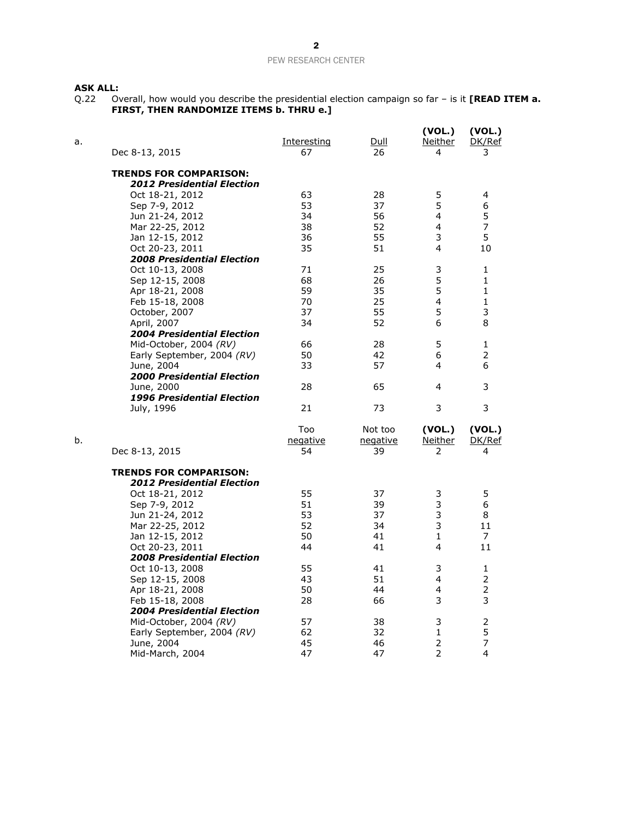## **ASK ALL:**

Q.22 Overall, how would you describe the presidential election campaign so far – is it **[READ ITEM a. FIRST, THEN RANDOMIZE ITEMS b. THRU e.]**

| a. | Dec 8-13, 2015                    | <u>Interesting</u><br>67 | Dull<br>26 | (VOL.)<br>Neither<br>4 | (VOL.)<br>DK/Ref<br>3 |
|----|-----------------------------------|--------------------------|------------|------------------------|-----------------------|
|    | <b>TRENDS FOR COMPARISON:</b>     |                          |            |                        |                       |
|    | <b>2012 Presidential Election</b> |                          |            |                        |                       |
|    | Oct 18-21, 2012                   | 63                       | 28         | 5                      | 4                     |
|    | Sep 7-9, 2012                     | 53                       | 37         | 5                      | 6                     |
|    | Jun 21-24, 2012                   | 34                       | 56         | 4                      | 5                     |
|    | Mar 22-25, 2012                   | 38                       | 52         | $\overline{4}$         | $\overline{7}$        |
|    | Jan 12-15, 2012                   | 36                       | 55         | 3                      | 5                     |
|    | Oct 20-23, 2011                   | 35                       | 51         | 4                      | 10                    |
|    | <b>2008 Presidential Election</b> |                          |            |                        |                       |
|    | Oct 10-13, 2008                   | 71                       | 25         | 3                      | 1                     |
|    | Sep 12-15, 2008                   | 68                       | 26         | 5                      | $\mathbf{1}$          |
|    | Apr 18-21, 2008                   | 59                       | 35         | 5                      | $\mathbf{1}$          |
|    | Feb 15-18, 2008                   | 70                       | 25         | 4                      | 1                     |
|    | October, 2007                     | 37                       | 55         | 5                      | 3                     |
|    | April, 2007                       | 34                       | 52         | 6                      | 8                     |
|    | <b>2004 Presidential Election</b> |                          |            |                        |                       |
|    | Mid-October, 2004 (RV)            | 66                       | 28         | 5                      | 1                     |
|    | Early September, 2004 (RV)        | 50                       | 42         | 6                      | 2                     |
|    | June, 2004                        | 33                       | 57         | 4                      | 6                     |
|    | <b>2000 Presidential Election</b> |                          |            |                        |                       |
|    | June, 2000                        | 28                       | 65         | 4                      | 3                     |
|    | <b>1996 Presidential Election</b> |                          |            |                        |                       |
|    | July, 1996                        | 21                       | 73         | 3                      | 3                     |
|    |                                   | Too                      | Not too    | (VOL.)                 | (VOL.)                |
| b. |                                   | negative                 | negative   | <u>Neither</u>         | DK/Ref                |
|    | Dec 8-13, 2015                    | 54                       | 39         | 2                      | 4                     |
|    | <b>TRENDS FOR COMPARISON:</b>     |                          |            |                        |                       |
|    | <b>2012 Presidential Election</b> |                          |            |                        |                       |
|    | Oct 18-21, 2012                   | 55                       | 37         | 3                      | 5                     |
|    | Sep 7-9, 2012                     | 51                       | 39         | 3                      | 6                     |
|    | Jun 21-24, 2012                   | 53                       | 37         | 3                      | 8                     |
|    | Mar 22-25, 2012                   | 52                       | 34         | 3                      | 11                    |
|    | Jan 12-15, 2012                   | 50                       | 41         | 1                      | 7                     |
|    | Oct 20-23, 2011                   | 44                       | 41         | 4                      | 11                    |
|    | <b>2008 Presidential Election</b> |                          |            |                        |                       |
|    | Oct 10-13, 2008                   | 55                       | 41         | 3                      | 1                     |
|    | Sep 12-15, 2008                   | 43                       | 51         | 4                      | $\overline{2}$        |
|    | Apr 18-21, 2008                   | 50                       | 44         | 4                      | $\overline{2}$        |
|    | Feb 15-18, 2008                   | 28                       | 66         | 3                      | 3                     |
|    | <b>2004 Presidential Election</b> |                          |            |                        |                       |
|    | Mid-October, 2004 (RV)            | 57                       | 38         | 3                      | $\overline{c}$        |
|    | Early September, 2004 (RV)        | 62                       | 32         | 1                      | 5                     |
|    | June, 2004                        | 45                       | 46         | $\overline{2}$         | $\overline{7}$        |
|    | Mid-March, 2004                   | 47                       | 47         | 2                      | 4                     |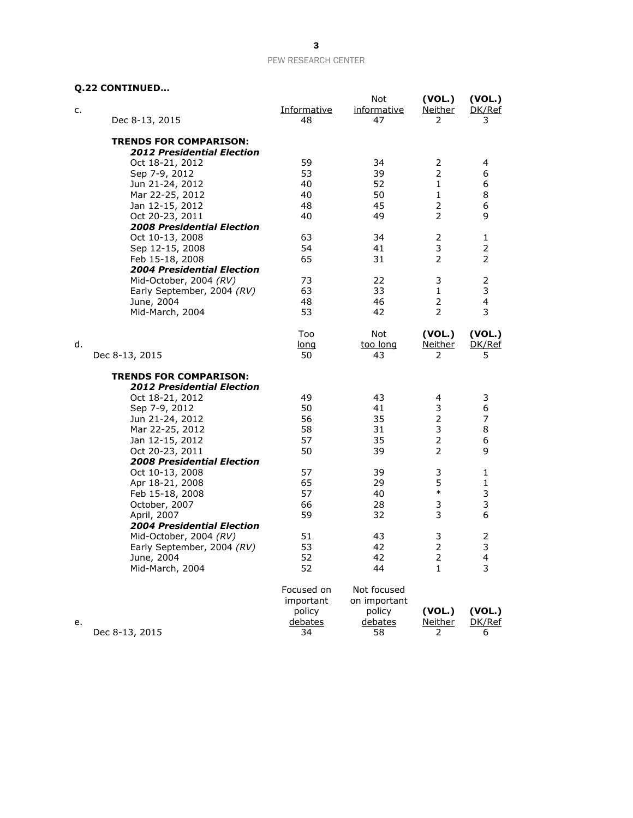# **Q.22 CONTINUED…**

| c. | Dec 8-13, 2015                    | <b>Informative</b><br>48 | Not<br><i>informative</i><br>47 | (VOL.)<br><b>Neither</b><br>2 | (VOL.)<br>DK/Ref<br>3 |
|----|-----------------------------------|--------------------------|---------------------------------|-------------------------------|-----------------------|
|    | <b>TRENDS FOR COMPARISON:</b>     |                          |                                 |                               |                       |
|    | <b>2012 Presidential Election</b> |                          |                                 |                               |                       |
|    | Oct 18-21, 2012                   | 59                       | 34                              | 2                             | 4                     |
|    | Sep 7-9, 2012                     | 53                       | 39                              | $\overline{2}$                | 6                     |
|    | Jun 21-24, 2012                   | 40                       | 52                              | 1                             | 6                     |
|    | Mar 22-25, 2012                   | 40                       | 50                              | $\mathbf{1}$                  | 8                     |
|    | Jan 12-15, 2012                   | 48                       | 45                              | $\overline{2}$                | 6                     |
|    | Oct 20-23, 2011                   | 40                       | 49                              | $\overline{2}$                | 9                     |
|    | <b>2008 Presidential Election</b> |                          |                                 |                               |                       |
|    | Oct 10-13, 2008                   | 63                       | 34                              | 2                             | 1                     |
|    | Sep 12-15, 2008                   | 54                       | 41                              | 3                             | 2                     |
|    | Feb 15-18, 2008                   | 65                       | 31                              | $\overline{2}$                | 2                     |
|    | <b>2004 Presidential Election</b> |                          |                                 |                               |                       |
|    |                                   | 73                       | 22                              | 3                             |                       |
|    | Mid-October, 2004 (RV)            |                          |                                 |                               | 2                     |
|    | Early September, 2004 (RV)        | 63                       | 33                              | $\mathbf{1}$                  | 3                     |
|    | June, 2004                        | 48                       | 46                              | 2                             | $\overline{4}$        |
|    | Mid-March, 2004                   | 53                       | 42                              | $\overline{2}$                | 3                     |
|    |                                   |                          | <b>Not</b>                      |                               |                       |
|    |                                   | Too                      |                                 | (VOL.)                        | (VOL.)                |
| d. |                                   | long                     | too long                        | <u>Neither</u>                | DK/Ref                |
|    | Dec 8-13, 2015                    | 50                       | 43                              | 2                             | 5                     |
|    | <b>TRENDS FOR COMPARISON:</b>     |                          |                                 |                               |                       |
|    | <b>2012 Presidential Election</b> |                          |                                 |                               |                       |
|    | Oct 18-21, 2012                   | 49                       | 43                              | 4                             | 3                     |
|    | Sep 7-9, 2012                     | 50                       | 41                              | 3                             | 6                     |
|    | Jun 21-24, 2012                   | 56                       | 35                              | $\overline{2}$                | 7                     |
|    | Mar 22-25, 2012                   | 58                       | 31                              | 3                             | 8                     |
|    | Jan 12-15, 2012                   | 57                       | 35                              | $\overline{2}$                | 6                     |
|    |                                   | 50                       | 39                              | $\overline{2}$                | 9                     |
|    | Oct 20-23, 2011                   |                          |                                 |                               |                       |
|    | <b>2008 Presidential Election</b> |                          |                                 |                               |                       |
|    | Oct 10-13, 2008                   | 57                       | 39                              | 3                             | 1                     |
|    | Apr 18-21, 2008                   | 65                       | 29                              | 5<br>$\ast$                   | $\mathbf{1}$          |
|    | Feb 15-18, 2008                   | 57                       | 40                              |                               | 3                     |
|    | October, 2007                     | 66                       | 28                              | 3                             | 3                     |
|    | April, 2007                       | 59                       | 32                              | 3                             | 6                     |
|    | <b>2004 Presidential Election</b> |                          |                                 |                               |                       |
|    | Mid-October, 2004 (RV)            | 51                       | 43                              | 3                             | 2                     |
|    | Early September, 2004 (RV)        | 53                       | 42                              | $\overline{2}$                | 3                     |
|    | June, 2004                        | 52                       | 42                              | $\overline{2}$                | 4                     |
|    | Mid-March, 2004                   | 52                       | 44                              | 1                             | 3                     |
|    |                                   | Focused on               | Not focused                     |                               |                       |
|    |                                   | important                | on important                    |                               |                       |
|    |                                   | policy                   | policy                          | (VOL.)                        | (VOL.)                |
|    |                                   | debates                  | debates                         | <b>Neither</b>                |                       |
| е. | Dec 8-13, 2015                    | 34                       | 58                              | 2                             | DK/Ref<br>6           |
|    |                                   |                          |                                 |                               |                       |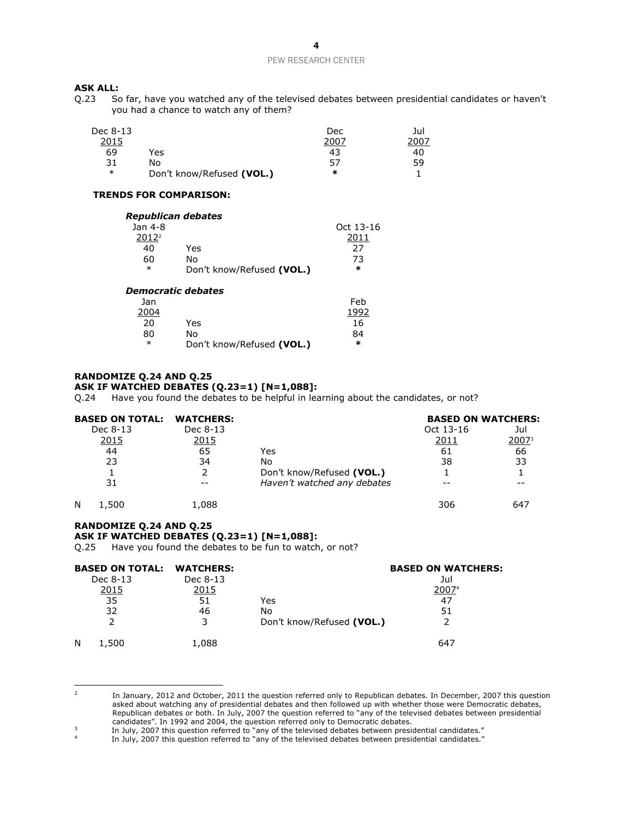# **ASK ALL:**<br>Q.23 So

So far, have you watched any of the televised debates between presidential candidates or haven't you had a chance to watch any of them?

| Dec 8-13 |                           | Dec  | Jul |
|----------|---------------------------|------|-----|
| 2015     |                           | 2007 |     |
| 69       | Yes                       | 43   | 40  |
| 31       | No                        | 57   | 59  |
| $\ast$   | Don't know/Refused (VOL.) | ∗    |     |

#### **TRENDS FOR COMPARISON:**

| Republican debates |                           |           |
|--------------------|---------------------------|-----------|
| Jan 4-8            |                           | Oct 13-16 |
| 2012 <sup>2</sup>  |                           | 2011      |
| 40                 | Yes                       | 27        |
| 60                 | N٥                        | 73        |
| $\ast$             | Don't know/Refused (VOL.) | $\ast$    |
|                    | .                         |           |

#### *Democratic debates*

| Jan    |                           | Feb  |
|--------|---------------------------|------|
| 2004   |                           | 1992 |
| 20     | Yes                       | 16   |
| 80     | N٥                        | 84   |
| $\ast$ | Don't know/Refused (VOL.) | ×    |

#### **RANDOMIZE Q.24 AND Q.25 ASK IF WATCHED DEBATES (Q.23=1) [N=1,088]:**

Q.24 Have you found the debates to be helpful in learning about the candidates, or not?

| <b>BASED ON TOTAL:</b> | <b>WATCHERS:</b> |                             | <b>BASED ON WATCHERS:</b> |                   |
|------------------------|------------------|-----------------------------|---------------------------|-------------------|
| Dec 8-13               | Dec 8-13         |                             | Oct 13-16                 | Jul               |
| <u>2015</u>            | <u>2015</u>      |                             | 2011                      | 2007 <sup>3</sup> |
| 44                     | 65               | Yes                         | 61                        | 66                |
| 23                     | 34               | No                          | 38                        | 33                |
|                        |                  | Don't know/Refused (VOL.)   |                           |                   |
| 31                     |                  | Haven't watched any debates |                           |                   |
| N<br>.,500             | 1.088            |                             | 306                       | 647               |

## **RANDOMIZE Q.24 AND Q.25 ASK IF WATCHED DEBATES (Q.23=1) [N=1,088]:**

Q.25 Have you found the debates to be fun to watch, or not?

| <b>BASED ON TOTAL: WATCHERS:</b> |          |                           | <b>BASED ON WATCHERS:</b> |
|----------------------------------|----------|---------------------------|---------------------------|
| Dec 8-13                         | Dec 8-13 |                           | Jul                       |
| 2015                             | 2015     |                           | 20074                     |
| 35                               | 51       | Yes                       | 47                        |
| 32                               | 46       | No                        | 51                        |
|                                  |          | Don't know/Refused (VOL.) |                           |
| N<br>1,500                       | 1,088    |                           | 647                       |

 $\frac{1}{2}$ In January, 2012 and October, 2011 the question referred only to Republican debates. In December, 2007 this question asked about watching any of presidential debates and then followed up with whether those were Democratic debates, Republican debates or both. In July, 2007 the question referred to "any of the televised debates between presidential candidates". In 1992 and 2004, the question referred only to Democratic debates.

<sup>3</sup> In July, 2007 this question referred to "any of the televised debates between presidential candidates."

<sup>4</sup> In July, 2007 this question referred to "any of the televised debates between presidential candidates."